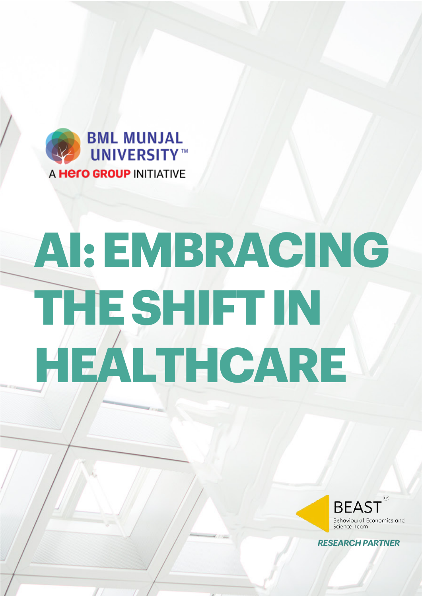



*RESEARCHPARTNER*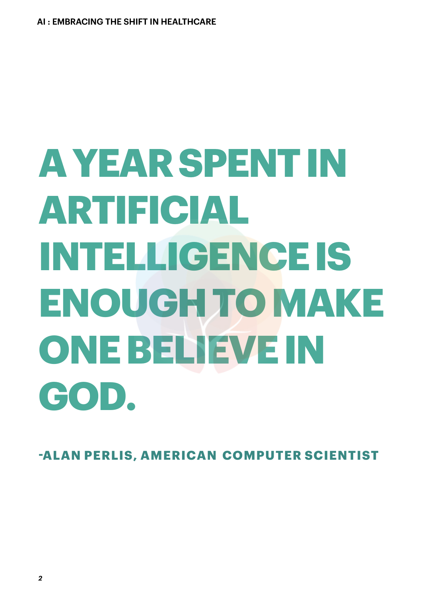# **AYEARSPENTIN ARTIFICIAL INTELLIGENCEIS ENOUGHTOMAKE ONEBELIEVEIN GOD.**

**-ALAN PERLIS, AMERICAN COMPUTER SCIENTIST**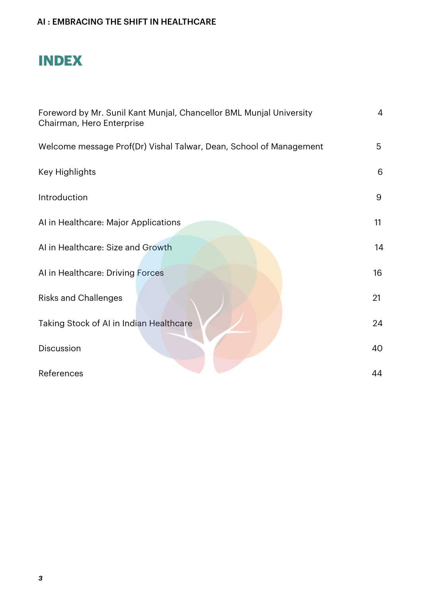# **INDEX**

| Foreword by Mr. Sunil Kant Munjal, Chancellor BML Munjal University<br>Chairman, Hero Enterprise | $\overline{4}$ |
|--------------------------------------------------------------------------------------------------|----------------|
| Welcome message Prof(Dr) Vishal Talwar, Dean, School of Management                               | 5              |
| Key Highlights                                                                                   | 6              |
| Introduction                                                                                     | 9              |
| AI in Healthcare: Major Applications                                                             | 11             |
| AI in Healthcare: Size and Growth                                                                | 14             |
| AI in Healthcare: Driving Forces                                                                 | 16             |
| <b>Risks and Challenges</b>                                                                      | 21             |
| Taking Stock of AI in Indian Healthcare                                                          | 24             |
| Discussion                                                                                       | 40             |
| References                                                                                       | 44             |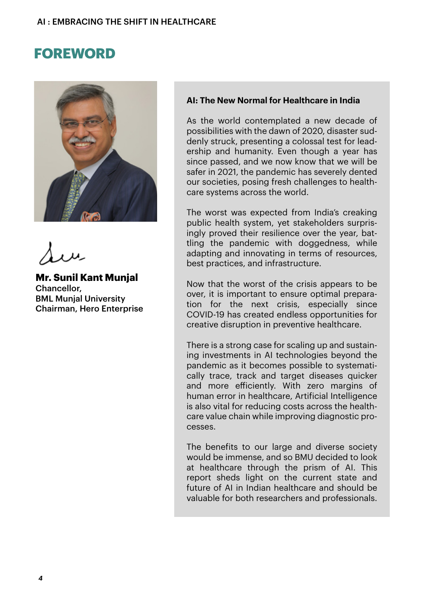## **FOREWORD**



**Mr. Sunil Kant Munjal** Chancellor, BML Munjal University Chairman, Hero Enterprise

#### **AI: The New Normal for Healthcare in India**

As the world contemplated a new decade of possibilities with the dawn of 2020, disaster suddenly struck, presenting a colossal test for leadership and humanity. Even though a year has since passed, and we now know that we will be safer in 2021, the pandemic has severely dented our societies, posing fresh challenges to healthcare systems across the world.

The worst was expected from India's creaking public health system, yet stakeholders surprisingly proved their resilience over the year, battling the pandemic with doggedness, while adapting and innovating in terms of resources, best practices, and infrastructure.

Now that the worst of the crisis appears to be over, it is important to ensure optimal preparation for the next crisis, especially since COVID-19 has created endless opportunities for creative disruption in preventive healthcare.

There is a strong case for scaling up and sustaining investments in AI technologies beyond the pandemic as it becomes possible to systematically trace, track and target diseases quicker and more efficiently. With zero margins of human error in healthcare, Artificial Intelligence is also vital for reducing costs across the healthcare value chain while improving diagnostic processes.

The benefits to our large and diverse society would be immense, and so BMU decided to look at healthcare through the prism of AI. This report sheds light on the current state and future of AI in Indian healthcare and should be valuable for both researchers and professionals.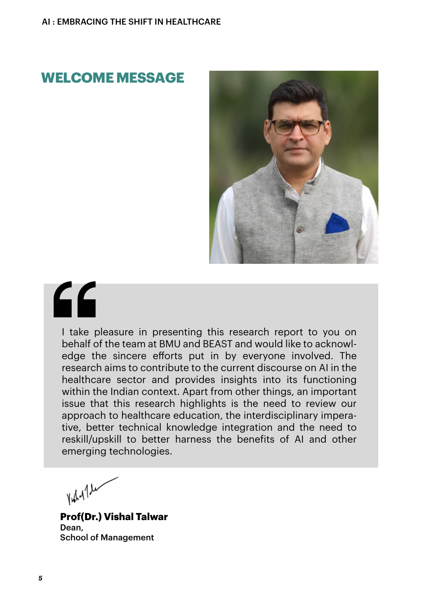## **WELCOME MESSAGE**



# 66

I take pleasure in presenting this research report to you on behalf of the team at BMU and BEAST and would like to acknowledge the sincere efforts put in by everyone involved. The research aims to contribute to the current discourse on AI in the healthcare sector and provides insights into its functioning within the Indian context. Apart from other things, an important issue that this research highlights is the need to review our approach to healthcare education, the interdisciplinary imperative, better technical knowledge integration and the need to reskill/upskill to better harness the benefits of AI and other emerging technologies.

Hary 1 le

**Prof(Dr.) Vishal Talwar** Dean, School of Management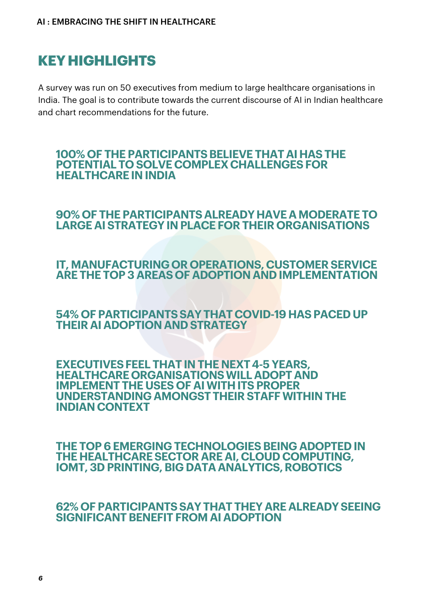# **KEYHIGHLIGHTS**

A survey was run on 50 executives from medium to large healthcare organisations in India. The goal is to contribute towards the current discourse of AI in Indian healthcare and chart recommendations for the future.

#### **100% OF THE PARTICIPANTSBELIEVE THAT AIHASTHE POTENTIAL TO SOLVE COMPLEXCHALLENGESFOR HEALTHCAREIN INDIA**

#### **90% OF THE PARTICIPANTSALREADYHAVEAMODERATE TO LARGE AISTRATEGYIN PLACE FORTHEIR ORGANISATIONS**

#### **IT, MANUFACTURING OR OPERATIONS, CUSTOMER SERVICE ARE THE TOP 3 AREASOF ADOPTIONAND IMPLEMENTATION**

#### **54% OF PARTICIPANTSSAYTHATCOVID-19 HASPACED UP THEIR AI ADOPTIONAND STRATEGY**

#### **EXECUTIVESFEEL THATIN THE NEXT4-5 YEARS, HEALTHCAREORGANISATIONSWILLADOPT AND IMPLEMENT THE USES OF AIWITHITS PROPER UNDERSTANDINGAMONGSTTHEIRSTAFFWITHIN THE INDIANCONTEXT**

**THE TOP6EMERGING TECHNOLOGIESBEING ADOPTED IN THE HEALTHCARESECTOR ARE AI,CLOUD COMPUTING, IOMT. 3D PRINTING. BIG DATA ANALYTICS, ROBOTICS** 

#### **62% OF PARTICIPANTSSAYTHATTHEY ARE ALREADYSEEING SIGNIFICANTBENEFIT FROM AI ADOPTION**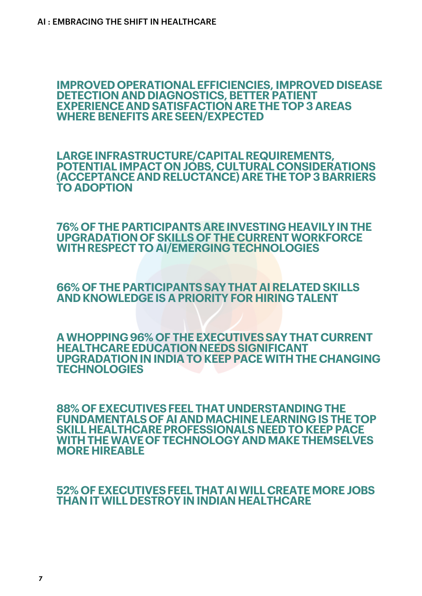#### **IMPROVED OPERATIONALEFFICIENCIES, IMPROVED DISEASE DETECTION AND DIAGNOSTICS, BETTER PATIENT EXPERIENCEAND SATISFACTIONARE THE TOP 3 AREAS WHERE BENEFITS ARESEEN/EXPECTED**

**LARGE INFRASTRUCTURE/CAPITALREQUIREMENTS, POTENTIAL IMPACT ON JOBS, CULTURALCONSIDERATIONS (ACCEPTANCEAND RELUCTANCE) ARE THE TOP 3BARRIERS TO ADOPTION**

**76% OF THE PARTICIPANTSARE INVESTINGHEAVILYIN THE UPGRADATIONOF SKILLS OF THE CURRENT WORKFORCE WITHRESPECT TO AI/EMERGINGTECHNOLOGIES**

**66% OF THE PARTICIPANTSSAYTHAT AIRELATED SKILLS AND KNOWLEDGE IS A PRIORITYFOR HIRING TALENT**

**AWHOPPING96% OF THE EXECUTIVESSAYTHATCURRENT HEALTHCAREEDUCATION NEEDS SIGNIFICANT UPGRADATIONIN INDIA TO KEEP PACEWITHTHE CHANGING TECHNOLOGIES**

**88% OF EXECUTIVESFEEL THATUNDERSTANDINGTHE FUNDAMENTALS OF AI ANDMACHINELEARNINGIS THE TOP SKILL HEALTHCAREPROFESSIONALS NEED TO KEEP PACE WITHTHE WAVEOF TECHNOLOGY ANDMAKETHEMSELVES MORE HIREABLE**

**52% OF EXECUTIVESFEEL THAT AIWILLCREATE MORE JOBS THANIT WILLDESTROY IN INDIAN HEALTHCARE**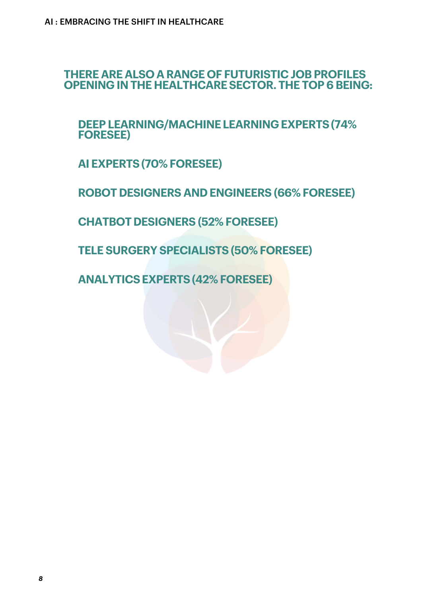**THERE ARE ALSO A RANGE OF FUTURISTIC JOBPROFILES OPENING IN THE HEALTHCARESECTOR. THE TOP6BEING:**

**DEEP LEARNING/MACHINELEARNINGEXPERTS(74% FORESEE)**

**AI EXPERTS(70% FORESEE)**

**ROBOT DESIGNERS AND ENGINEERS (66% FORESEE)**

**CHATBOTDESIGNERS (52% FORESEE)**

**TELE SURGERY SPECIALISTS(50% FORESEE)**

**ANALYTICSEXPERTS(42% FORESEE)**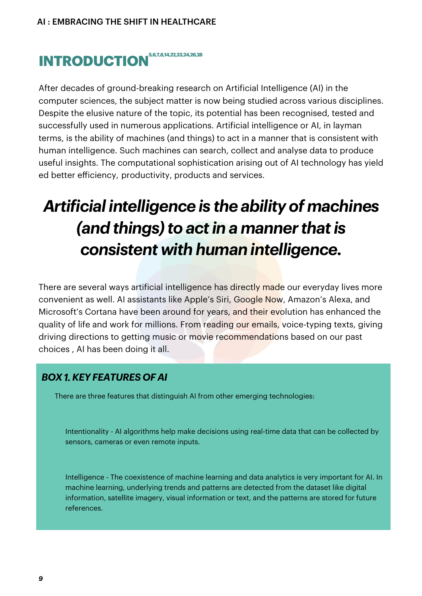# **INTRODUCTION**<sup>5,6,7,8,14,22,23,24,26,28</sup>

After decades of ground-breaking research on Artificial Intelligence (AI) in the computer sciences, the subject matter is now being studied across various disciplines. Despite the elusive nature of the topic, its potential has been recognised, tested and successfully used in numerous applications. Artificial intelligence or AI, in layman terms, is the ability of machines (and things) to act in a manner that is consistent with human intelligence. Such machines can search, collect and analyse data to produce useful insights. The computational sophistication arising out of AI technology has yield ed better efficiency, productivity, products and services.

# *Artificial intelligence is the ability of machines (and things)to actin a manner thatis consistent with human intelligence.*

There are several ways artificial intelligence has directly made our everyday lives more convenient as well. AI assistants like Apple's Siri, Google Now, Amazon's Alexa, and Microsoft's Cortana have been around for years, and their evolution has enhanced the quality of life and work for millions. From reading our emails, voice-typing texts, giving driving directions to getting music or movie recommendations based on our past choices , AI has been doing it all.

#### *FEATURES BOX1.KEY OF AI*

There are three features that distinguish AI from other emerging technologies:

Intentionality - AI algorithms help make decisions using real-time data that can be collected by sensors, cameras or even remote inputs.

Intelligence - The coexistence of machine learning and data analytics is very important for AI. In machine learning, underlying trends and patterns are detected from the dataset like digital information, satellite imagery, visual information or text, and the patterns are stored for future references.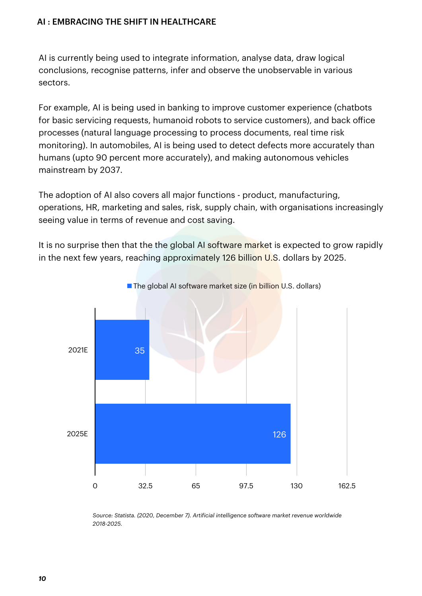AI is currently being used to integrate information, analyse data, draw logical conclusions, recognise patterns, infer and observe the unobservable in various sectors.

For example, AI is being used in banking to improve customer experience (chatbots for basic servicing requests, humanoid robots to service customers), and back office processes (natural language processing to process documents, real time risk monitoring). In automobiles, AI is being used to detect defects more accurately than humans (upto 90 percent more accurately), and making autonomous vehicles mainstream by 2037.

The adoption of AI also covers all major functions - product, manufacturing, operations, HR, marketing and sales, risk, supply chain, with organisations increasingly seeing value in terms of revenue and cost saving.

It is no surprise then that the the global AI software market is expected to grow rapidly in the next few years, reaching approximately 126 billion U.S. dollars by 2025.



The global AI software market size (in billion U.S. dollars)

*Source: Statista. (2020, December 7). Artificial intelligence software market revenue worldwide 2018-2025.*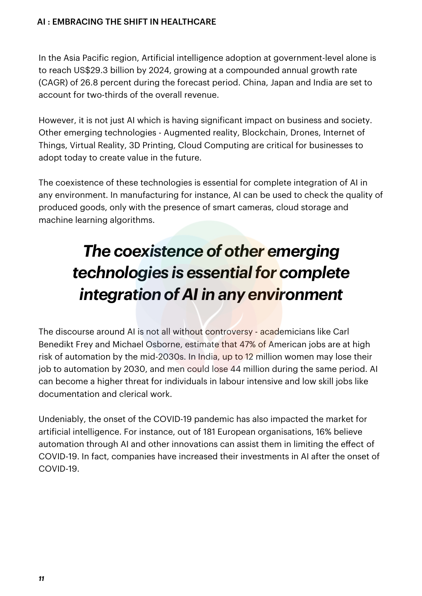In the Asia Pacific region, Artificial intelligence adoption at government-level alone is to reach US\$29.3 billion by 2024, growing at a compounded annual growth rate (CAGR) of 26.8 percent during the forecast period. China, Japan and India are set to account for two-thirds of the overall revenue.

However, it is not just AI which is having significant impact on business and society. Other emerging technologies - Augmented reality, Blockchain, Drones, Internet of Things, Virtual Reality, 3D Printing, Cloud Computing are critical for businesses to adopt today to create value in the future.

The coexistence of these technologies is essential for complete integration of AI in any environment. In manufacturing for instance, AI can be used to check the quality of produced goods, only with the presence of smart cameras, cloud storage and machine learning algorithms.

# *The coexistence of other emerging technologies is essentialfor complete integration of AI in any environment*

The discourse around AI is not all without controversy - academicians like Carl Benedikt Frey and Michael Osborne, estimate that 47% of American jobs are at high risk of automation by the mid-2030s. In India, up to 12 million women may lose their job to automation by 2030, and men could lose 44 million during the same period. AI can become a higher threat for individuals in labour intensive and low skill jobs like documentation and clerical work.

Undeniably, the onset of the COVID-19 pandemic has also impacted the market for artificial intelligence. For instance, out of 181 European organisations, 16% believe automation through AI and other innovations can assist them in limiting the effect of COVID-19. In fact, companies have increased their investments in AI after the onset of COVID-19.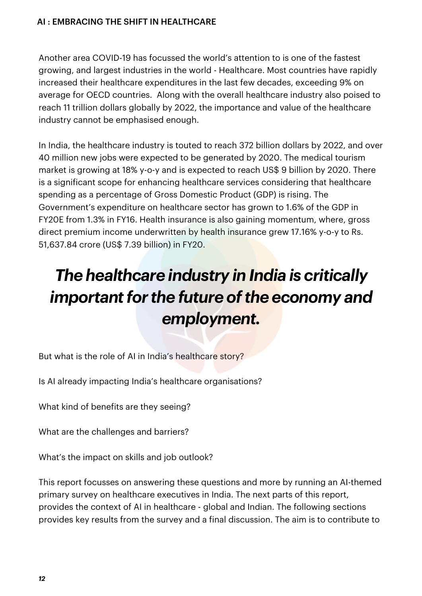Another area COVID-19 has focussed the world's attention to is one of the fastest growing, and largest industries in the world - Healthcare. Most countries have rapidly increased their healthcare expenditures in the last few decades, exceeding 9% on average for OECD countries. Along with the overall healthcare industry also poised to reach 11 trillion dollars globally by 2022, the importance and value of the healthcare industry cannot be emphasised enough.

In India, the healthcare industry is touted to reach 372 billion dollars by 2022, and over 40 million new jobs were expected to be generated by 2020. The medical tourism market is growing at 18% y-o-y and is expected to reach US\$ 9 billion by 2020. There is a significant scope for enhancing healthcare services considering that healthcare spending as a percentage of Gross Domestic Product (GDP) is rising. The Government's expenditure on healthcare sector has grown to 1.6% of the GDP in FY20E from 1.3% in FY16. Health insurance is also gaining momentum, where, gross direct premium income underwritten by health insurance grew 17.16% y-o-y to Rs. 51,637.84 crore (US\$ 7.39 billion) in FY20.

# *The healthcare industry in India is critically important* for the future of the economy and *employment.*

But what is the role of AI in India's healthcare story?

Is AI already impacting India's healthcare organisations?

What kind of benefits are they seeing?

What are the challenges and barriers?

What's the impact on skills and job outlook?

This report focusses on answering these questions and more by running an AI-themed primary survey on healthcare executives in India. The next parts of this report, provides the context of AI in healthcare - global and Indian. The following sections provides key results from the survey and a final discussion. The aim is to contribute to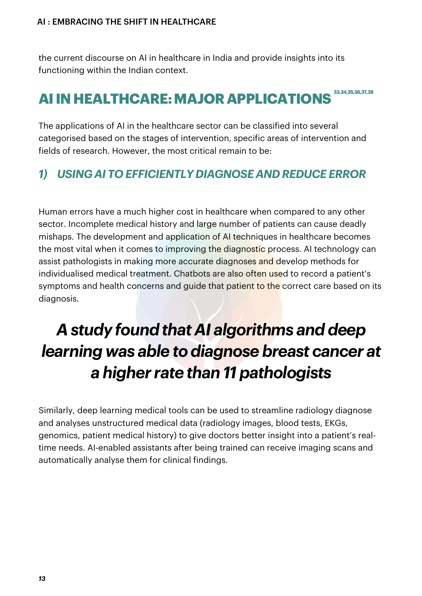the current discourse on AI in healthcare in India and provide insights into its functioning within the Indian context.

# **AIINHEALTHCARE:MAJORAPPLICATIONS 33,34,35,36,37,38**

The applications of AI in the healthcare sector can be classified into several categorised based on the stages of intervention, specific areas of intervention and fields of research. However, the most critical remain to be:

## *1) USING AI TO EFFICIENTLY DIAGNOSE AND REDUCE ERROR*

Human errors have a much higher cost in healthcare when compared to any other sector. Incomplete medical history and large number of patients can cause deadly mishaps. The development and application of AI techniques in healthcare becomes the most vital when it comes to improving the diagnostic process. AI technology can assist pathologists in making more accurate diagnoses and develop methods for individualised medical treatment. Chatbots are also often used to record a patient's symptoms and health concerns and guide that patient to the correct care based on its diagnosis.

# *A study found that AI algorithms and deep learning was able to diagnose breast cancer at a higher rate than 11 pathologists*

Similarly, deep learning medical tools can be used to streamline radiology diagnose and analyses unstructured medical data (radiology images, blood tests, EKGs, genomics, patient medical history) to give doctors better insight into a patient's realtime needs. AI-enabled assistants after being trained can receive imaging scans and automatically analyse them for clinical findings.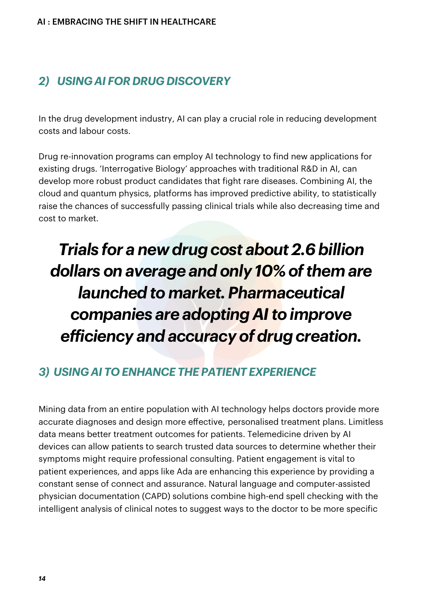## *2) USING AI FOR DRUG DISCOVERY*

In the drug development industry, AI can play a crucial role in reducing development costs and labour costs.

Drug re-innovation programs can employ AI technology to find new applications for existing drugs. 'Interrogative Biology' approaches with traditional R&D in AI, can develop more robust product candidates that fight rare diseases. Combining AI, the cloud and quantum physics, platforms has improved predictive ability, to statistically raise the chances of successfully passing clinical trials while also decreasing time and cost to market.

# *Trials for a new drug cost about 2.6billion dollars on average and only 10% ofthem are launched to market. Pharmaceutical companies are adopting AIto improve efficiency and accuracy* of *drug creation.*

## *3) USING AI TO ENHANCE THE PATIENT EXPERIENCE*

Mining data from an entire population with AI technology helps doctors provide more accurate diagnoses and design more effective, personalised treatment plans. Limitless data means better treatment outcomes for patients. Telemedicine driven by AI devices can allow patients to search trusted data sources to determine whether their symptoms might require professional consulting. Patient engagement is vital to patient experiences, and apps like Ada are enhancing this experience by providing a constant sense of connect and assurance. Natural language and computer-assisted physician documentation (CAPD) solutions combine high-end spell checking with the intelligent analysis of clinical notes to suggest ways to the doctor to be more specific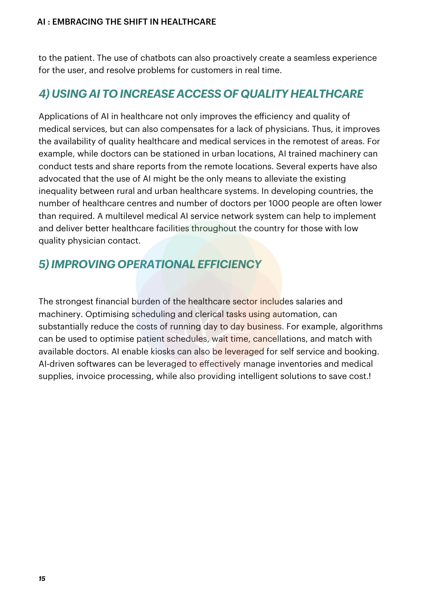to the patient. The use of chatbots can also proactively create a seamless experience for the user, and resolve problems for customers in real time.

## *4) USING AI TO INCREASE ACCESS OF QUALITY HEALTHCARE*

Applications of AI in healthcare not only improves the efficiency and quality of medical services, but can also compensates for a lack of physicians. Thus, it improves the availability of quality healthcare and medical services in the remotest of areas. For example, while doctors can be stationed in urban locations, AI trained machinery can conduct tests and share reports from the remote locations. Several experts have also advocated that the use of AI might be the only means to alleviate the existing inequality between rural and urban healthcare systems. In developing countries, the number of healthcare centres and number of doctors per 1000 people are often lower than required. A multilevel medical AI service network system can help to implement and deliver better healthcare facilities throughout the country for those with low quality physician contact.

## *5)IMPROVING OPERATIONAL EFFICIENCY*

The strongest financial burden of the healthcare sector includes salaries and machinery. Optimising scheduling and clerical tasks using automation, can substantially reduce the costs of running day to day business. For example, algorithms can be used to optimise patient schedules, wait time, cancellations, and match with available doctors. AI enable kiosks can also be leveraged for self service and booking. AI-driven softwares can be leveraged to effectively manage inventories and medical supplies, invoice processing, while also providing intelligent solutions to save cost.!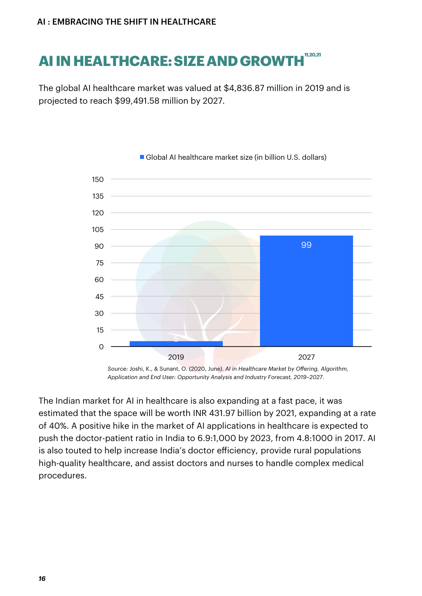# **AI IN HEALTHCARE: SIZE AND GROWTH 11,20,21**

The global AI healthcare market was valued at \$4,836.87 million in 2019 and is projected to reach \$99,491.58 million by 2027.



Global AI healthcare market size (in billion U.S. dollars)

*Source:* Joshi, K., & Sunant, O. (2020, June). *AI in Healthcare Market by Oering, Algorithm, Application and End User: Opportunity Analysis and Industry Forecast, 2019–2027*.

The Indian market for AI in healthcare is also expanding at a fast pace, it was estimated that the space will be worth INR 431.97 billion by 2021, expanding at a rate of 40%. A positive hike in the market of AI applications in healthcare is expected to push the doctor-patient ratio in India to 6.9:1,000 by 2023, from 4.8:1000 in 2017. AI is also touted to help increase India's doctor efficiency, provide rural populations high-quality healthcare, and assist doctors and nurses to handle complex medical procedures.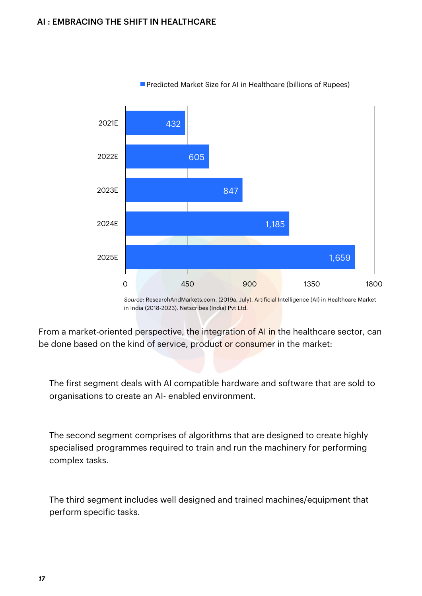

**Predicted Market Size for AI in Healthcare (billions of Rupees)** 

*Source:* ResearchAndMarkets.com. (2019a, July). Artificial Intelligence (AI) in Healthcare Market in India (2018-2023). Netscribes (India) Pvt Ltd.

From a market-oriented perspective, the integration of AI in the healthcare sector, can be done based on the kind of service, product or consumer in the market:

The first segment deals with AI compatible hardware and software that are sold to organisations to create an AI- enabled environment.

The second segment comprises of algorithms that are designed to create highly specialised programmes required to train and run the machinery for performing complex tasks.

The third segment includes well designed and trained machines/equipment that perform specific tasks.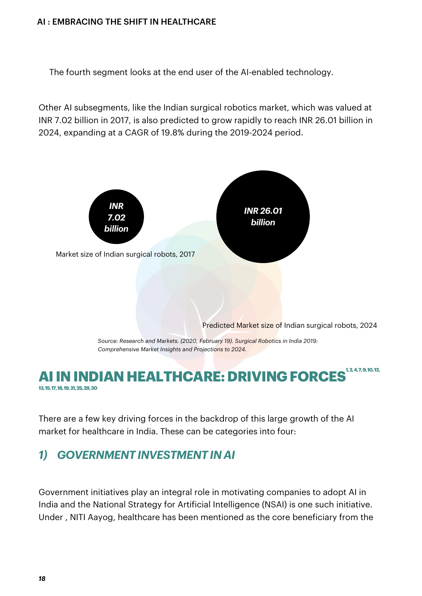The fourth segment looks at the end user of the AI-enabled technology.

Other AI subsegments, like the Indian surgical robotics market, which was valued at INR 7.02 billion in 2017, is also predicted to grow rapidly to reach INR 26.01 billion in 2024, expanding at a CAGR of 19.8% during the 2019-2024 period.



### **AI IN INDIAN HEALTHCARE: DRIVING FORCES 13,15,17,18,19,21,25,29,30**

There are a few key driving forces in the backdrop of this large growth of the AI market for healthcare in India. These can be categories into four:

## *1) GOVERNMENT INVESTMENT IN AI*

Government initiatives play an integral role in motivating companies to adopt AI in India and the National Strategy for Artificial Intelligence (NSAI) is one such initiative. Under , NITI Aayog, healthcare has been mentioned as the core beneficiary from the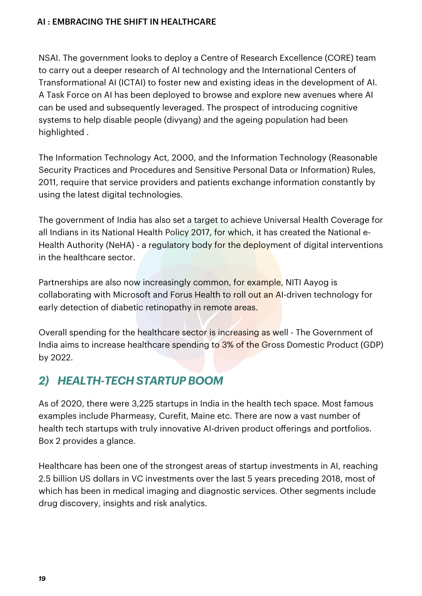NSAI. The government looks to deploy a Centre of Research Excellence (CORE) team to carry out a deeper research of AI technology and the International Centers of Transformational AI (ICTAI) to foster new and existing ideas in the development of AI. A Task Force on AI has been deployed to browse and explore new avenues where AI can be used and subsequently leveraged. The prospect of introducing cognitive systems to help disable people (divyang) and the ageing population had been highlighted .

The Information Technology Act, 2000, and the Information Technology (Reasonable Security Practices and Procedures and Sensitive Personal Data or Information) Rules, 2011, require that service providers and patients exchange information constantly by using the latest digital technologies.

The government of India has also set a target to achieve Universal Health Coverage for all Indians in its National Health Policy 2017, for which, it has created the National e-Health Authority (NeHA) - a regulatory body for the deployment of digital interventions in the healthcare sector.

Partnerships are also now increasingly common, for example, NITI Aayog is collaborating with Microsoft and Forus Health to roll out an AI-driven technology for early detection of diabetic retinopathy in remote areas.

Overall spending for the healthcare sector is increasing as well - The Government of India aims to increase healthcare spending to 3% of the Gross Domestic Product (GDP) by 2022.

## *2) HEALTH-TECH STARTUPBOOM*

As of 2020, there were 3,225 startups in India in the health tech space. Most famous examples include Pharmeasy, Curefit, Maine etc. There are now a vast number of health tech startups with truly innovative AI-driven product offerings and portfolios. Box 2 provides a glance.

Healthcare has been one of the strongest areas of startup investments in AI, reaching 2.5 billion US dollars in VC investments over the last 5 years preceding 2018, most of which has been in medical imaging and diagnostic services. Other segments include drug discovery, insights and risk analytics.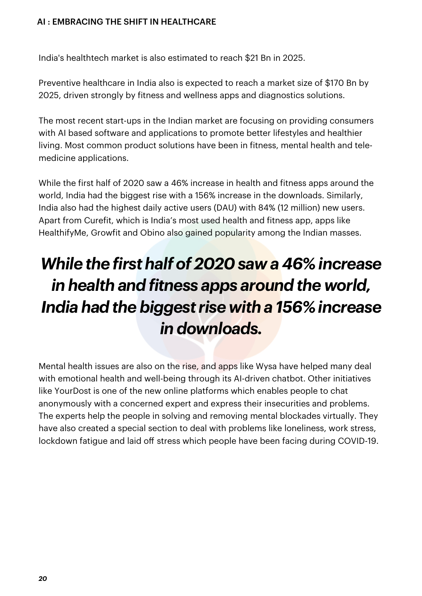India's healthtech market is also estimated to reach \$21 Bn in 2025.

Preventive healthcare in India also is expected to reach a market size of \$170 Bn by 2025, driven strongly by fitness and wellness apps and diagnostics solutions.

The most recent start-ups in the Indian market are focusing on providing consumers with AI based software and applications to promote better lifestyles and healthier living. Most common product solutions have been in fitness, mental health and telemedicine applications.

While the first half of 2020 saw a 46% increase in health and fitness apps around the world, India had the biggest rise with a 156% increase in the downloads. Similarly, India also had the highest daily active users (DAU) with 84% (12 million) new users. Apart from Curefit, which is India's most used health and fitness app, apps like HealthifyMe, Growfit and Obino also gained popularity among the Indian masses.

# *While the first half of 2020 saw a 46% increase in health and fitness apps around the world, India had the biggest rise with a 156% increase in downloads.*

Mental health issues are also on the rise, and apps like Wysa have helped many deal with emotional health and well-being through its AI-driven chatbot. Other initiatives like YourDost is one of the new online platforms which enables people to chat anonymously with a concerned expert and express their insecurities and problems. The experts help the people in solving and removing mental blockades virtually. They have also created a special section to deal with problems like loneliness, work stress, lockdown fatigue and laid off stress which people have been facing during COVID-19.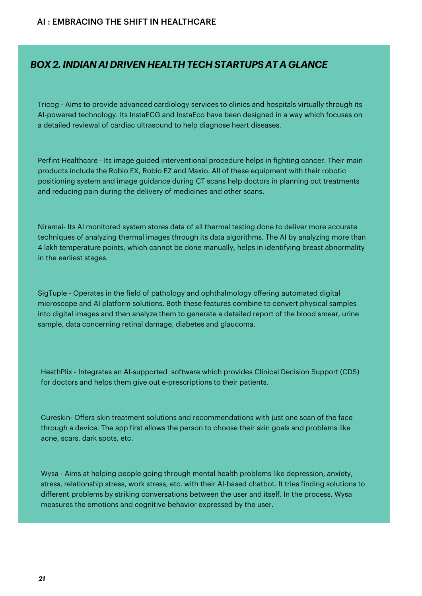#### *BOX2.INDIAN AI DRIVEN HEALTH TECH STARTUPS AT A GLANCE*

Tricog - Aims to provide advanced cardiology services to clinics and hospitals virtually through its AI-powered technology. Its InstaECG and InstaEco have been designed in a way which focuses on a detailed reviewal of cardiac ultrasound to help diagnose heart diseases.

Perfint Healthcare - Its image guided interventional procedure helps in fighting cancer. Their main products include the Robio EX, Robio EZ and Maxio. All of these equipment with their robotic positioning system and image guidance during CT scans help doctors in planning out treatments and reducing pain during the delivery of medicines and other scans.

Niramai- Its AI monitored system stores data of all thermal testing done to deliver more accurate techniques of analyzing thermal images through its data algorithms. The AI by analyzing more than 4 lakh temperature points, which cannot be done manually, helps in identifying breast abnormality in the earliest stages.

SigTuple - Operates in the field of pathology and ophthalmology offering automated digital microscope and AI platform solutions. Both these features combine to convert physical samples into digital images and then analyze them to generate a detailed report of the blood smear, urine sample, data concerning retinal damage, diabetes and glaucoma.

HeathPlix - Integrates an AI-supported software which provides Clinical Decision Support (CDS) for doctors and helps them give out e-prescriptions to their patients. The mass using the state of the state o

Cureskin- Offers skin treatment solutions and recommendations with just one scan of the face through a device. The app first allows the person to choose their skin goals and problems like acne, scars, dark spots, etc.

Wysa - Aims at helping people going through mental health problems like depression, anxiety, stress, relationship stress, work stress, etc. with their AI-based chatbot. It tries finding solutions to different problems by striking conversations between the user and itself. In the process, Wysa measures the emotions and cognitive behavior expressed by the user.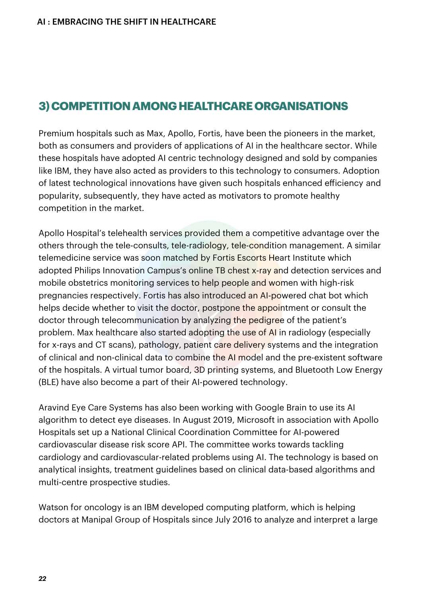### **3)COMPETITIONAMONGHEALTHCAREORGANISATIONS**

Premium hospitals such as Max, Apollo, Fortis, have been the pioneers in the market, both as consumers and providers of applications of AI in the healthcare sector. While these hospitals have adopted AI centric technology designed and sold by companies like IBM, they have also acted as providers to this technology to consumers. Adoption of latest technological innovations have given such hospitals enhanced efficiency and popularity, subsequently, they have acted as motivators to promote healthy competition in the market.

Apollo Hospital's telehealth services provided them a competitive advantage over the others through the tele-consults, tele-radiology, tele-condition management. A similar telemedicine service was soon matched by Fortis Escorts Heart Institute which adopted Philips Innovation Campus's online TB chest x-ray and detection services and mobile obstetrics monitoring services to help people and women with high-risk pregnancies respectively. Fortis has also introduced an AI-powered chat bot which helps decide whether to visit the doctor, postpone the appointment or consult the doctor through telecommunication by analyzing the pedigree of the patient's problem. Max healthcare also started adopting the use of AI in radiology (especially for x-rays and CT scans), pathology, patient care delivery systems and the integration of clinical and non-clinical data to combine the AI model and the pre-existent software of the hospitals. A virtual tumor board, 3D printing systems, and Bluetooth Low Energy (BLE) have also become a part of their AI-powered technology.

Aravind Eye Care Systems has also been working with Google Brain to use its AI algorithm to detect eye diseases. In August 2019, Microsoft in association with Apollo Hospitals set up a National Clinical Coordination Committee for AI-powered cardiovascular disease risk score API. The committee works towards tackling cardiology and cardiovascular-related problems using AI. The technology is based on analytical insights, treatment guidelines based on clinical data-based algorithms and multi-centre prospective studies.

Watson for oncology is an IBM developed computing platform, which is helping doctors at Manipal Group of Hospitals since July 2016 to analyze and interpret a large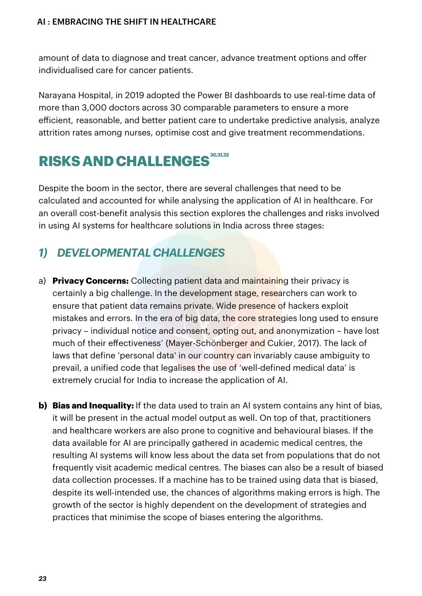amount of data to diagnose and treat cancer, advance treatment options and offer individualised care for cancer patients.

Narayana Hospital, in 2019 adopted the Power BI dashboards to use real-time data of more than 3,000 doctors across 30 comparable parameters to ensure a more efficient, reasonable, and better patient care to undertake predictive analysis, analyze attrition rates among nurses, optimise cost and give treatment recommendations.

# **RISKSANDCHALLENGES 30,31,32**

Despite the boom in the sector, there are several challenges that need to be calculated and accounted for while analysing the application of AI in healthcare. For an overall cost-benefit analysis this section explores the challenges and risks involved in using AI systems for healthcare solutions in India across three stages:

## *1) DEVELOPMENTALCHALLENGES*

- a) **Privacy Concerns:** Collecting patient data and maintaining their privacy is certainly a big challenge. In the development stage, researchers can work to ensure that patient data remains private. Wide presence of hackers exploit mistakes and errors. In the era of big data, the core strategies long used to ensure privacy – individual notice and consent, opting out, and anonymization – have lost much of their effectiveness' (Mayer-Schönberger and Cukier, 2017). The lack of laws that define 'personal data' in our country can invariably cause ambiguity to prevail, a unified code that legalises the use of 'well-defined medical data' is extremely crucial for India to increase the application of AI.
- **b) Bias and Inequality:** If the data used to train an AI system contains any hint of bias, it will be present in the actual model output as well. On top of that, practitioners and healthcare workers are also prone to cognitive and behavioural biases. If the data available for AI are principally gathered in academic medical centres, the resulting AI systems will know less about the data set from populations that do not frequently visit academic medical centres. The biases can also be a result of biased data collection processes. If a machine has to be trained using data that is biased, despite its well-intended use, the chances of algorithms making errors is high. The growth of the sector is highly dependent on the development of strategies and practices that minimise the scope of biases entering the algorithms.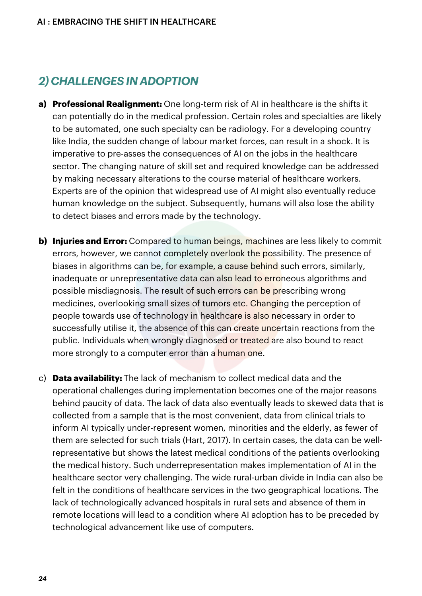## *2) CHALLENGESIN ADOPTION*

- **a) Professional Realignment:** One long-term risk of AI in healthcare is the shifts it can potentially do in the medical profession. Certain roles and specialties are likely to be automated, one such specialty can be radiology. For a developing country like India, the sudden change of labour market forces, can result in a shock. It is imperative to pre-asses the consequences of AI on the jobs in the healthcare sector. The changing nature of skill set and required knowledge can be addressed by making necessary alterations to the course material of healthcare workers. Experts are of the opinion that widespread use of AI might also eventually reduce human knowledge on the subject. Subsequently, humans will also lose the ability to detect biases and errors made by the technology.
- **b) Injuries and Error:** Compared to human beings, machines are less likely to commit errors, however, we cannot completely overlook the possibility. The presence of biases in algorithms can be, for example, a cause behind such errors, similarly, inadequate or unrepresentative data can also lead to erroneous algorithms and possible misdiagnosis. The result of such errors can be prescribing wrong medicines, overlooking small sizes of tumors etc. Changing the perception of people towards use of technology in healthcare is also necessary in order to successfully utilise it, the absence of this can create uncertain reactions from the public. Individuals when wrongly diagnosed or treated are also bound to react more strongly to a computer error than a human one.
- c) **Data availability:** The lack of mechanism to collect medical data and the operational challenges during implementation becomes one of the major reasons behind paucity of data. The lack of data also eventually leads to skewed data that is collected from a sample that is the most convenient, data from clinical trials to inform AI typically under-represent women, minorities and the elderly, as fewer of them are selected for such trials (Hart, 2017). In certain cases, the data can be wellrepresentative but shows the latest medical conditions of the patients overlooking the medical history. Such underrepresentation makes implementation of AI in the healthcare sector very challenging. The wide rural-urban divide in India can also be felt in the conditions of healthcare services in the two geographical locations. The lack of technologically advanced hospitals in rural sets and absence of them in remote locations will lead to a condition where AI adoption has to be preceded by technological advancement like use of computers.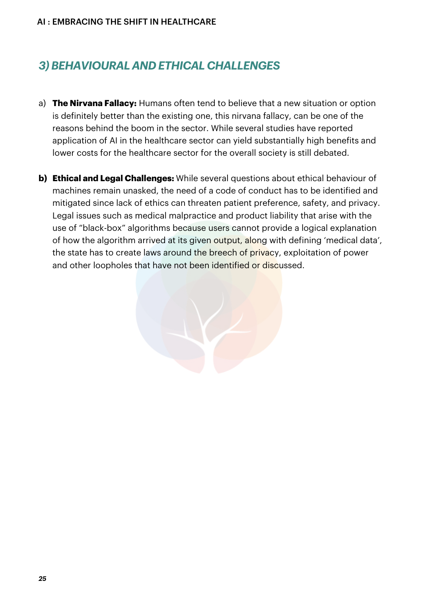## *3)BEHAVIOURAL AND ETHICAL CHALLENGES*

- a) **The Nirvana Fallacy:** Humans often tend to believe that a new situation or option is definitely better than the existing one, this nirvana fallacy, can be one of the reasons behind the boom in the sector. While several studies have reported application of AI in the healthcare sector can yield substantially high benefits and lower costs for the healthcare sector for the overall society is still debated.
- **b) Ethical and Legal Challenges:** While several questions about ethical behaviour of machines remain unasked, the need of a code of conduct has to be identified and mitigated since lack of ethics can threaten patient preference, safety, and privacy. Legal issues such as medical malpractice and product liability that arise with the use of "black-box" algorithms because users cannot provide a logical explanation of how the algorithm arrived at its given output, along with defining 'medical data', the state has to create laws around the breech of privacy, exploitation of power and other loopholes that have not been identified or discussed.

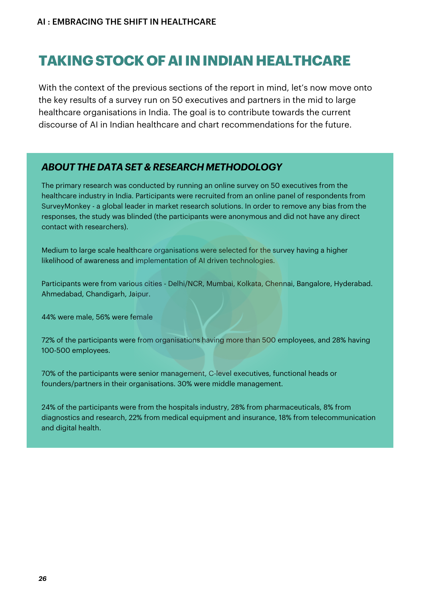# **TAKINGSTOCK OFAIININDIANHEALTHCARE**

With the context of the previous sections of the report in mind, let's now move onto the key results of a survey run on 50 executives and partners in the mid to large healthcare organisations in India. The goal is to contribute towards the current discourse of AI in Indian healthcare and chart recommendations for the future.

#### *ABOUT THE DATA SET & RESEARCH METHODOLOGY*

The primary research was conducted by running an online survey on 50 executives from the healthcare industry in India. Participants were recruited from an online panel of respondents from SurveyMonkey - a global leader in market research solutions. In order to remove any bias from the responses, the study was blinded (the participants were anonymous and did not have any direct contact with researchers).

Medium to large scale healthcare organisations were selected for the survey having a higher likelihood of awareness and implementation of AI driven technologies.

Participants were from various cities - Delhi/NCR, Mumbai, Kolkata, Chennai, Bangalore, Hyderabad. Ahmedabad, Chandigarh, Jaipur.

44% were male, 56% were female

72% of the participants were from organisations having more than 500 employees, and 28% having 100-500 employees.

70% of the participants were senior management, C-level executives, functional heads or founders/partners in their organisations. 30% were middle management.

24% of the participants were from the hospitals industry, 28% from pharmaceuticals, 8% from diagnostics and research, 22% from medical equipment and insurance, 18% from telecommunication and digital health.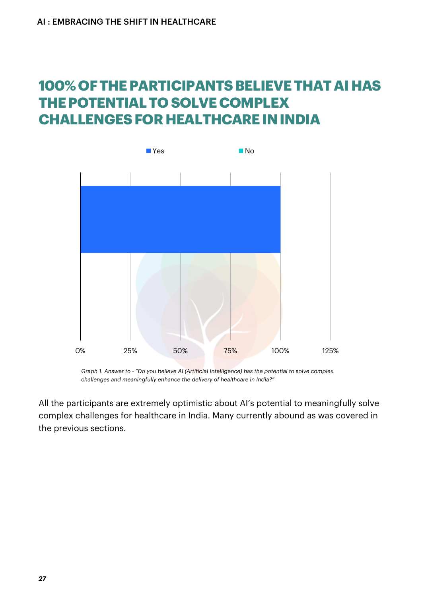# **100% OFTHEPARTICIPANTSBELIEVETHATAIHAS THEPOTENTIALTO SOLVECOMPLEX CHALLENGES FOR HEALTHCARE IN INDIA**



*Graph 1. Answer to - "Do you believe AI (Artificial Intelligence) has the potential to solve complex challenges and meaningfully enhance the delivery of healthcare in India?"*

All the participants are extremely optimistic about AI's potential to meaningfully solve complex challenges for healthcare in India. Many currently abound as was covered in the previous sections.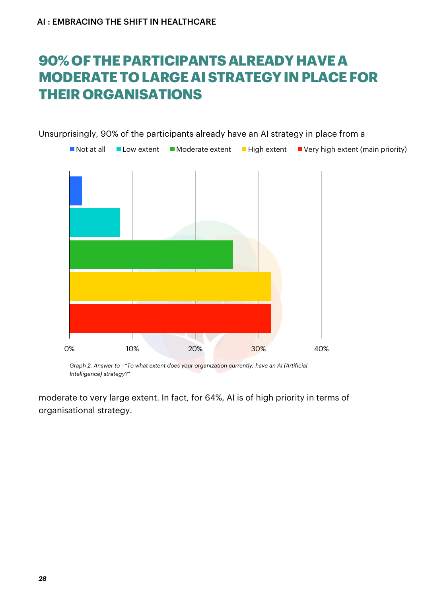# **90% OFTHEPARTICIPANTSALREADYHAVEA MODERATETO LARGEAISTRATEGYINPLACEFOR THEIR ORGANISATIONS**

 $\blacksquare$  Not at all  $\blacksquare$  Low extent  $\blacksquare$  Moderate extent  $\blacksquare$  High extent  $\blacksquare$  Very high extent (main priority)  $\mathbb{R}$ 0% 10% 20% 30% 40%

Unsurprisingly, 90% of the participants already have an AI strategy in place from a

*Graph 2. Answer to - "To what extent does your organization currently, have an AI (Artificial Intelligence) strategy?"*

moderate to very large extent. In fact, for 64%, AI is of high priority in terms of organisational strategy.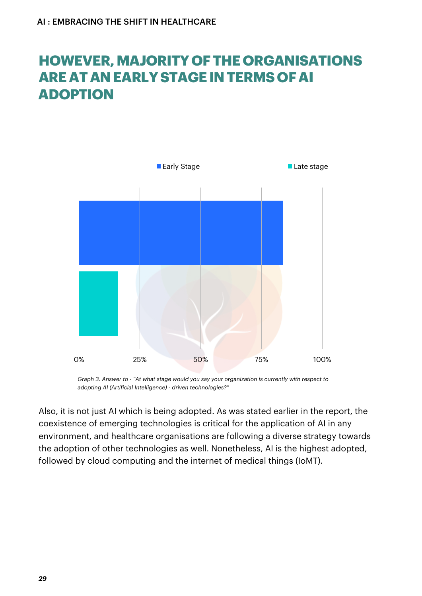# **HOWEVER,MAJORITY OFTHE ORGANISATIONS AREATANEARLYSTAGEINTERMS OFAI ADOPTION**



*Graph 3. Answer to - "At what stage would you say your organization is currently with respect to adopting AI (Artificial Intelligence) - driven technologies?"*

Also, it is not just AI which is being adopted. As was stated earlier in the report, the coexistence of emerging technologies is critical for the application of AI in any environment, and healthcare organisations are following a diverse strategy towards the adoption of other technologies as well. Nonetheless, AI is the highest adopted, followed by cloud computing and the internet of medical things (IoMT).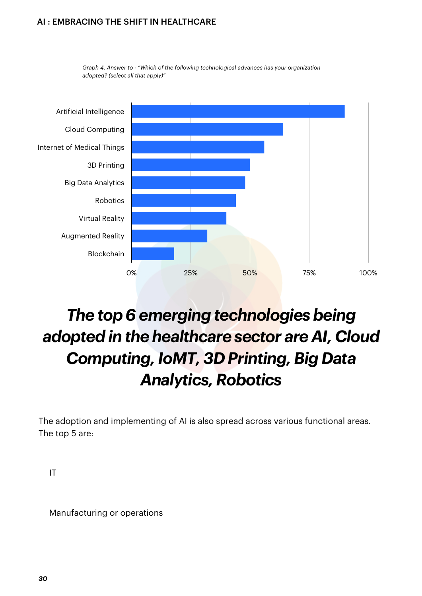

*Graph 4. Answer to - "Which of the following technological advances has your organization adopted? (select all that apply)"*

# **The top 6 emerging** *technologies* being *adopted in the healthcare sector are AI, Cloud Computing, IoMT, 3D Printing, Big Data Analytics,Robotics*

The adoption and implementing of AI is also spread across various functional areas. The top 5 are:

IT

Manufacturing or operations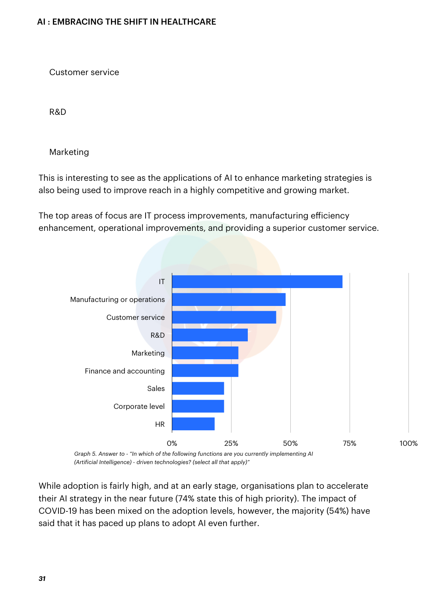Customer service

R&D

Marketing

This is interesting to see as the applications of AI to enhance marketing strategies is also being used to improve reach in a highly competitive and growing market.

The top areas of focus are IT process improvements, manufacturing efficiency enhancement, operational improvements, and providing a superior customer service.



*Graph 5. Answer to - "In which of the following functions are you currently implementing AI (Artificial Intelligence) - driven technologies? (select all that apply)"*

While adoption is fairly high, and at an early stage, organisations plan to accelerate their AI strategy in the near future (74% state this of high priority). The impact of COVID-19 has been mixed on the adoption levels, however, the majority (54%) have said that it has paced up plans to adopt AI even further.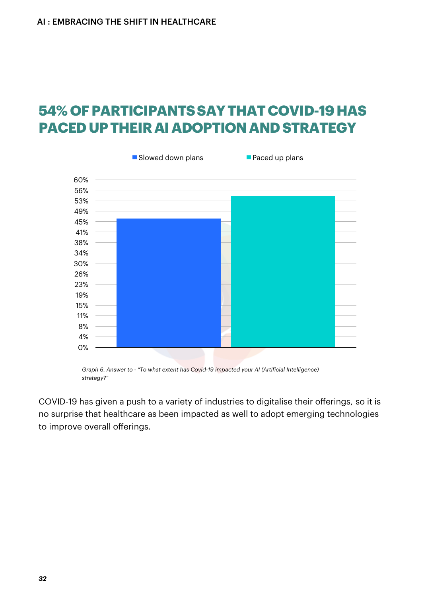# **54% OFPARTICIPANTSSAYTHATCOVID-19HAS PACEDUPTHEIRAIADOPTIONANDSTRATEGY**



*Graph 6. Answer to - "To what extent has Covid-19 impacted your AI (Artificial Intelligence) strategy?"*

COVID-19 has given a push to a variety of industries to digitalise their offerings, so it is no surprise that healthcare as been impacted as well to adopt emerging technologies to improve overall offerings.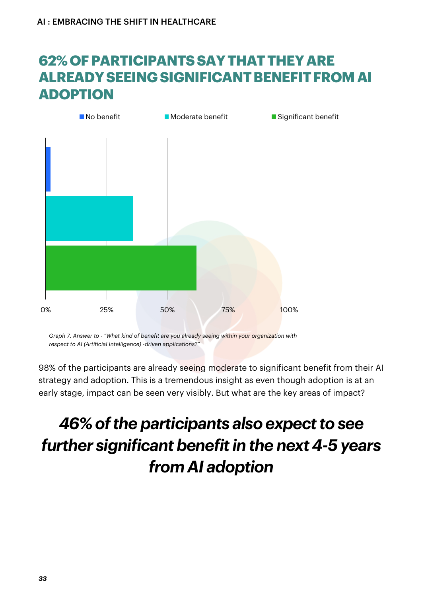# **62% OFPARTICIPANTSSAYTHATTHEYARE ALREADYSEEINGSIGNIFICANTBENEFITFROMAI ADOPTION**



*Graph 7. Answer to - "What kind of benefit are you already seeing within your organization with respect to AI (Artificial Intelligence) -driven applications?"*

98% of the participants are already seeing moderate to significant benefit from their AI strategy and adoption. This is a tremendous insight as even though adoption is at an early stage, impact can be seen very visibly. But what are the key areas of impact?

# *A6%* of the participants also expect to see **further significant benefit in the next 4-5 years** *from AI adoption*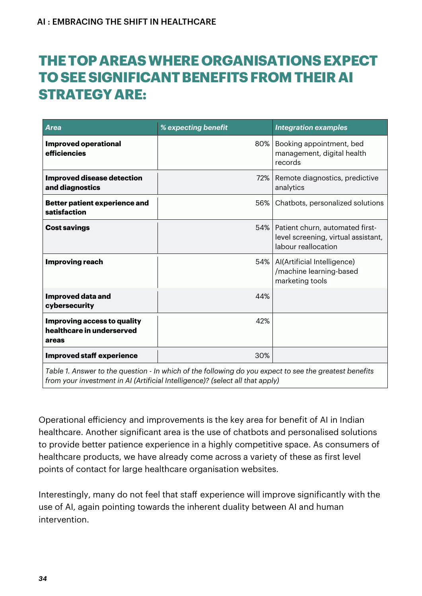# **THETOPAREASWHERE ORGANISATIONSEXPECT TO SEESIGNIFICANTBENEFITSFROMTHEIRAI STRATEGYARE:**

| Area                                                                     | % expecting benefit | <b>Integration examples</b>                                                                         |
|--------------------------------------------------------------------------|---------------------|-----------------------------------------------------------------------------------------------------|
| <b>Improved operational</b><br>efficiencies                              | 80%                 | Booking appointment, bed<br>management, digital health<br>records                                   |
| <b>Improved disease detection</b><br>and diagnostics                     | 72%                 | Remote diagnostics, predictive<br>analytics                                                         |
| <b>Better patient experience and</b><br>satisfaction                     | 56%                 | Chatbots, personalized solutions                                                                    |
| <b>Cost savings</b>                                                      |                     | 54%   Patient churn, automated first-<br>level screening, virtual assistant,<br>labour reallocation |
| <b>Improving reach</b>                                                   |                     | 54%   Al(Artificial Intelligence)<br>/machine learning-based<br>marketing tools                     |
| <b>Improved data and</b><br>cybersecurity                                | 44%                 |                                                                                                     |
| <b>Improving access to quality</b><br>healthcare in underserved<br>areas | 42%                 |                                                                                                     |
| <b>Improved staff experience</b>                                         | 30%                 |                                                                                                     |

Table 1. Answer to the question - In which of the following do you expect to see the greatest benefits *from your investment in AI (Artificial Intelligence)? (select all that apply)*

Operational efficiency and improvements is the key area for benefit of AI in Indian healthcare. Another significant area is the use of chatbots and personalised solutions to provide better patience experience in a highly competitive space. As consumers of healthcare products, we have already come across a variety of these as first level points of contact for large healthcare organisation websites.

Interestingly, many do not feel that staff experience will improve significantly with the use of AI, again pointing towards the inherent duality between AI and human intervention.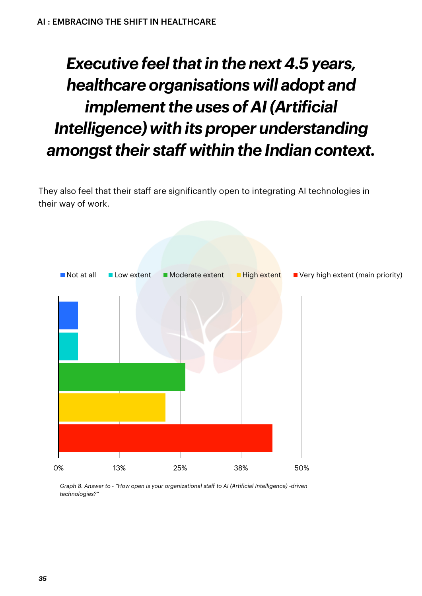# *Executive feelthatin the next 4.5 years, healthcare organisations will adopt and implement the uses of AI (Artificial Intelligence) with its proper understanding amongsttheir sta within the Indian context.*

They also feel that their staff are significantly open to integrating AI technologies in their way of work.

![](_page_34_Figure_3.jpeg)

*Graph 8. Answer to - "How open is your organizational sta to AI (Artificial Intelligence) -driven technologies?"*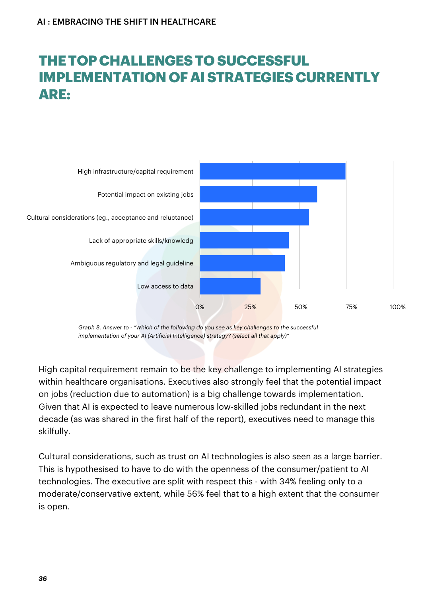# **THETOPCHALLENGESTO SUCCESSFUL IMPLEMENTATION OF AI STRATEGIES CURRENTLY ARE:**

![](_page_35_Figure_2.jpeg)

*Graph 8. Answer to - "Which of the following do you see as key challenges to the successful implementation of your AI (Artificial Intelligence) strategy? (select all that apply)"*

High capital requirement remain to be the key challenge to implementing AI strategies within healthcare organisations. Executives also strongly feel that the potential impact on jobs (reduction due to automation) is a big challenge towards implementation. Given that AI is expected to leave numerous low-skilled jobs redundant in the next decade (as was shared in the first half of the report), executives need to manage this skilfully.

Cultural considerations, such as trust on AI technologies is also seen as a large barrier. This is hypothesised to have to do with the openness of the consumer/patient to AI technologies. The executive are split with respect this - with 34% feeling only to a moderate/conservative extent, while 56% feel that to a high extent that the consumer is open.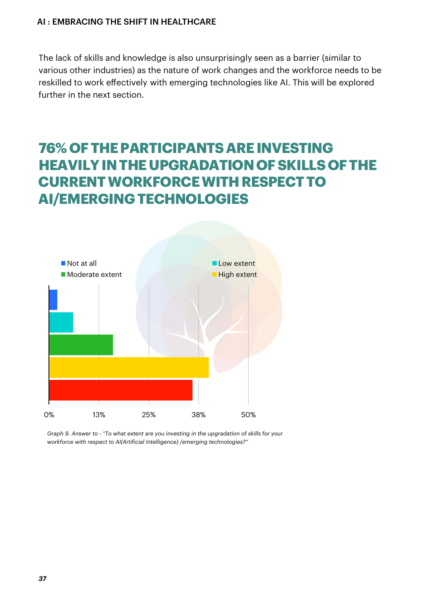The lack of skills and knowledge is also unsurprisingly seen as a barrier (similar to various other industries) as the nature of work changes and the workforce needs to be reskilled to work effectively with emerging technologies like AI. This will be explored further in the next section.

# **76% OFTHEPARTICIPANTSAREINVESTING HEAVILYINTHEUPGRADATION OFSKILLS OFTHE CURRENTWORKFORCEWITHRESPECTTO AI/EMERGINGTECHNOLOGIES**

![](_page_36_Figure_3.jpeg)

*Graph 9. Answer to - "To what extent are you investing in the upgradation of skills for your workforce with respect to AI(Artificial Intelligence) /emerging technologies?"*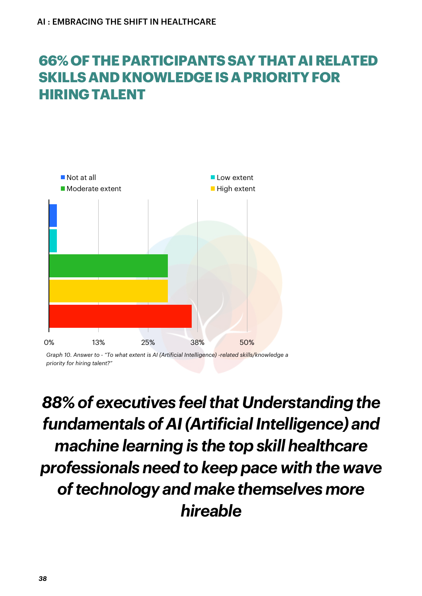# **66% OFTHEPARTICIPANTSSAYTHATAIRELATED SKILLSANDKNOWLEDGEISAPRIORITYFOR HIRINGTALENT**

![](_page_37_Figure_2.jpeg)

*Graph 10. Answer to - "To what extent is AI (Artificial Intelligence) -related skills/knowledge a priority for hiring talent?"*

*88% of executives feelthat Understanding the fundamentals of AI(ArtificialIntelligence) and machine learning is the top skill healthcare professionals need to keep pace with the wave oftechnology and make themselves more hireable*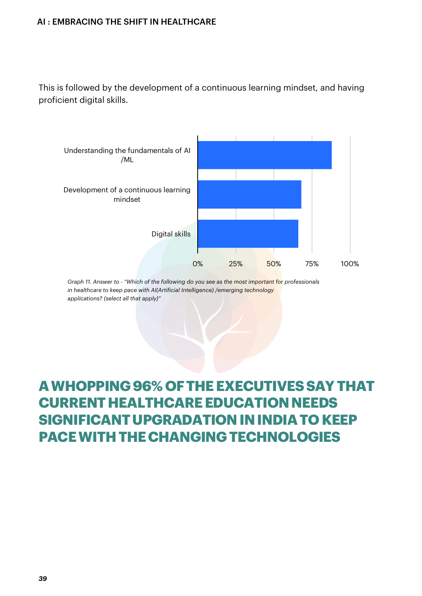This is followed by the development of a continuous learning mindset, and having proficient digital skills.

![](_page_38_Figure_2.jpeg)

*Graph 11. Answer to - "Which of the following do you see as the most important for professionals in healthcare to keep pace with AI(Artificial Intelligence) /emerging technology applications? (select all that apply)"*

# **AWHOPPING96% OFTHEEXECUTIVESSAYTHAT CURRENT HEALTHCARE EDUCATION NEEDS SIGNIFICANTUPGRADATIONININDIATO KEEP PACEWITHTHECHANGINGTECHNOLOGIES**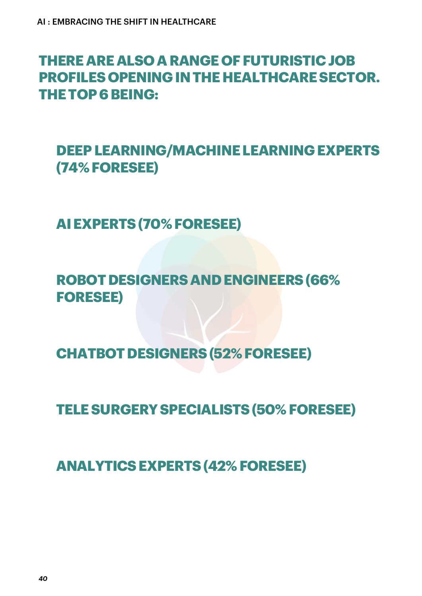## **THEREAREALSO ARANGE OFFUTURISTICJOB PROFILES OPENINGINTHEHEALTHCARESECTOR. THETOP6BEING:**

**DEEPLEARNING/MACHINELEARNINGEXPERTS (74% FORESEE)**

**AIEXPERTS(70% FORESEE)**

**ROBOTDESIGNERSANDENGINEERS(66% FORESEE)**

**CHATBOTDESIGNERS(52% FORESEE)**

**TELESURGERYSPECIALISTS(50% FORESEE)**

**ANALYTICSEXPERTS(42% FORESEE)**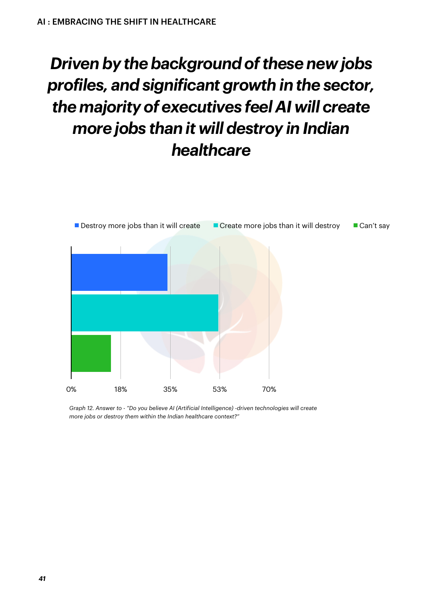# *Driven* by the background of these new jobs *profiles, and significant growth in the sector, the majority of executives feel AI will create more jobs than it will destroy in Indian healthcare*

![](_page_40_Figure_2.jpeg)

*Graph 12. Answer to - "Do you believe AI (Artificial Intelligence) -driven technologies will create more jobs or destroy them within the Indian healthcare context?"*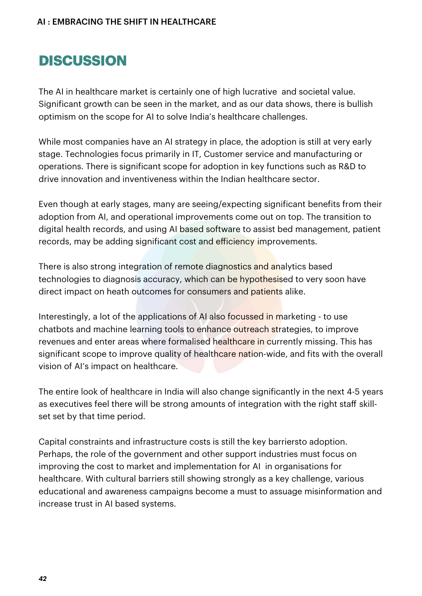# **DISCUSSION**

The AI in healthcare market is certainly one of high lucrative and societal value. Significant growth can be seen in the market, and as our data shows, there is bullish optimism on the scope for AI to solve India's healthcare challenges.

While most companies have an AI strategy in place, the adoption is still at very early stage. Technologies focus primarily in IT, Customer service and manufacturing or operations. There is significant scope for adoption in key functions such as R&D to drive innovation and inventiveness within the Indian healthcare sector.

Even though at early stages, many are seeing/expecting significant benefits from their adoption from AI, and operational improvements come out on top. The transition to digital health records, and using AI based software to assist bed management, patient records, may be adding significant cost and efficiency improvements.

There is also strong integration of remote diagnostics and analytics based technologies to diagnosis accuracy, which can be hypothesised to very soon have direct impact on heath outcomes for consumers and patients alike.

Interestingly, a lot of the applications of AI also focussed in marketing - to use chatbots and machine learning tools to enhance outreach strategies, to improve revenues and enter areas where formalised healthcare in currently missing. This has significant scope to improve quality of healthcare nation-wide, and fits with the overall vision of AI's impact on healthcare.

The entire look of healthcare in India will also change significantly in the next 4-5 years as executives feel there will be strong amounts of integration with the right staff skillset set by that time period.

Capital constraints and infrastructure costs is still the key barriersto adoption. Perhaps, the role of the government and other support industries must focus on improving the cost to market and implementation for AI in organisations for healthcare. With cultural barriers still showing strongly as a key challenge, various educational and awareness campaigns become a must to assuage misinformation and increase trust in AI based systems.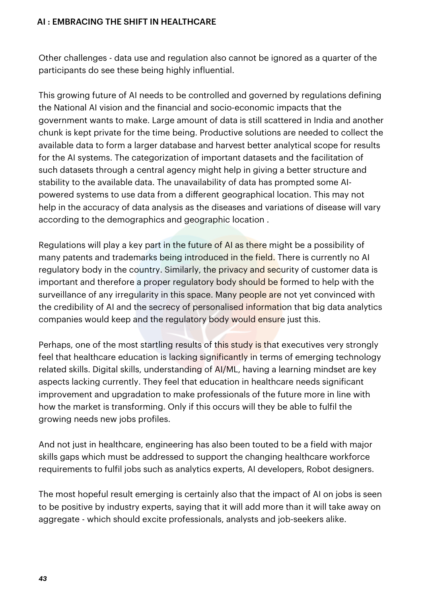Other challenges - data use and regulation also cannot be ignored as a quarter of the participants do see these being highly influential.

This growing future of AI needs to be controlled and governed by regulations defining the National AI vision and the financial and socio-economic impacts that the government wants to make. Large amount of data is still scattered in India and another chunk is kept private for the time being. Productive solutions are needed to collect the available data to form a larger database and harvest better analytical scope for results for the AI systems. The categorization of important datasets and the facilitation of such datasets through a central agency might help in giving a better structure and stability to the available data. The unavailability of data has prompted some AIpowered systems to use data from a different geographical location. This may not help in the accuracy of data analysis as the diseases and variations of disease will vary according to the demographics and geographic location .

Regulations will play a key part in the future of AI as there might be a possibility of many patents and trademarks being introduced in the field. There is currently no AI regulatory body in the country. Similarly, the privacy and security of customer data is important and therefore a proper regulatory body should be formed to help with the surveillance of any irregularity in this space. Many people are not yet convinced with the credibility of AI and the secrecy of personalised information that big data analytics companies would keep and the regulatory body would ensure just this.

Perhaps, one of the most startling results of this study is that executives very strongly feel that healthcare education is lacking significantly in terms of emerging technology related skills. Digital skills, understanding of AI/ML, having a learning mindset are key aspects lacking currently. They feel that education in healthcare needs significant improvement and upgradation to make professionals of the future more in line with how the market is transforming. Only if this occurs will they be able to fulfil the growing needs new jobs profiles.

And not just in healthcare, engineering has also been touted to be a field with major skills gaps which must be addressed to support the changing healthcare workforce requirements to fulfil jobs such as analytics experts, AI developers, Robot designers.

The most hopeful result emerging is certainly also that the impact of AI on jobs is seen to be positive by industry experts, saying that it will add more than it will take away on aggregate - which should excite professionals, analysts and job-seekers alike.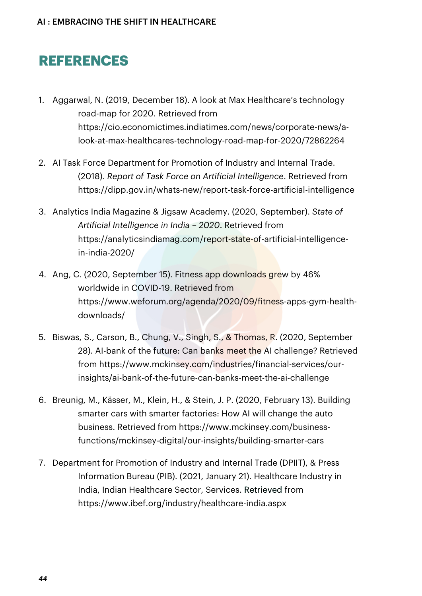# **REFERENCES**

- 1. Aggarwal, N. (2019, December 18). A look at Max Healthcare's technology road-map for 2020. Retrieved from https://cio.economictimes.indiatimes.com/news/corporate-news/alook-at-max-healthcares-technology-road-map-for-2020/72862264
- 2. AI Task Force Department for Promotion of Industry and Internal Trade. (2018). *Report of Task Force on Artificial Intelligence*. Retrieved from https://dipp.gov.in/whats-new/report-task-force-artificial-intelligence
- 3. Analytics India Magazine & Jigsaw Academy. (2020, September). *State of Artificial Intelligence in India – 2020*. Retrieved from https://analyticsindiamag.com/report-state-of-artificial-intelligencein-india-2020/
- 4. Ang, C. (2020, September 15). Fitness app downloads grew by 46% worldwide in COVID-19. Retrieved from https://www.weforum.org/agenda/2020/09/fitness-apps-gym-healthdownloads/
- 5. Biswas, S., Carson, B., Chung, V., Singh, S., & Thomas, R. (2020, September 28). AI-bank of the future: Can banks meet the AI challenge? Retrieved from https://www.mckinsey.com/industries/financial-services/ourinsights/ai-bank-of-the-future-can-banks-meet-the-ai-challenge
- 6. Breunig, M., Kässer, M., Klein, H., & Stein, J. P. (2020, February 13). Building smarter cars with smarter factories: How AI will change the auto business. Retrieved from https://www.mckinsey.com/businessfunctions/mckinsey-digital/our-insights/building-smarter-cars
- 7. Department for Promotion of Industry and Internal Trade (DPIIT), & Press Information Bureau (PIB). (2021, January 21). Healthcare Industry in India, Indian Healthcare Sector, Services. Retrieved from https://www.ibef.org/industry/healthcare-india.aspx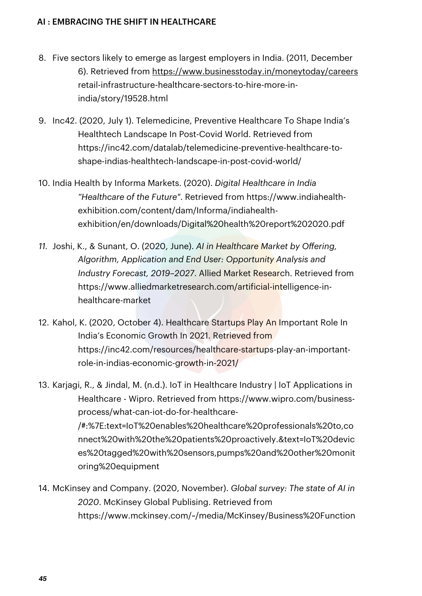- 8. Five sectors likely to emerge as largest employers in India. (2011, December 6). Retrieved from https://www.businesstoday.in/moneytoday/careers retail-infrastructure-healthcare-sectors-to-hire-more-inindia/story/19528.html
- 9. Inc42. (2020, July 1). Telemedicine, Preventive Healthcare To Shape India's Healthtech Landscape In Post-Covid World. Retrieved from https://inc42.com/datalab/telemedicine-preventive-healthcare-toshape-indias-healthtech-landscape-in-post-covid-world/
- 10. India Health by Informa Markets. (2020). *Digital Healthcare in India "Healthcare of the Future"*. Retrieved from https://www.indiahealthexhibition.com/content/dam/Informa/indiahealthexhibition/en/downloads/Digital%20health%20report%202020.pdf
- *11.* Joshi, K., & Sunant, O. (2020, June). *AI in Healthcare Market by Oering, Algorithm, Application and End User: Opportunity Analysis and Industry Forecast, 2019–2027*. Allied Market Research. Retrieved from https://www.alliedmarketresearch.com/artificial-intelligence-inhealthcare-market
- 12. Kahol, K. (2020, October 4). Healthcare Startups Play An Important Role In India's Economic Growth In 2021. Retrieved from https://inc42.com/resources/healthcare-startups-play-an-importantrole-in-indias-economic-growth-in-2021/
- 13. Karjagi, R., & Jindal, M. (n.d.). IoT in Healthcare Industry | IoT Applications in Healthcare - Wipro. Retrieved from https://www.wipro.com/businessprocess/what-can-iot-do-for-healthcare- /#:%7E:text=IoT%20enables%20healthcare%20professionals%20to,co nnect%20with%20the%20patients%20proactively.&text=IoT%20devic es%20tagged%20with%20sensors,pumps%20and%20other%20monit oring%20equipment
- 14. McKinsey and Company. (2020, November). *Global survey: The state of AI in 2020*. McKinsey Global Publising. Retrieved from https://www.mckinsey.com/~/media/McKinsey/Business%20Function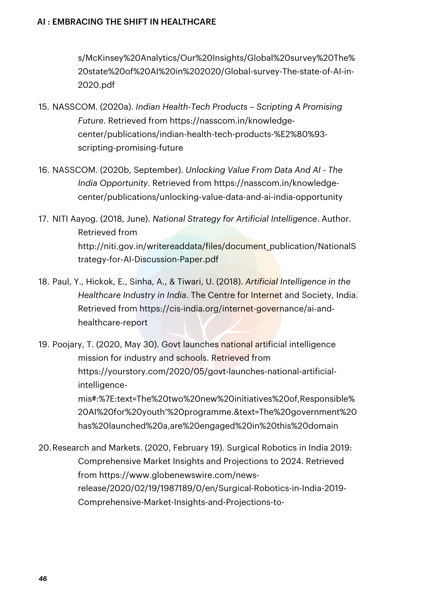s/McKinsey%20Analytics/Our%20Insights/Global%20survey%20The% 20state%20of%20AI%20in%202020/Global-survey-The-state-of-AI-in-2020.pdf

- 15. NASSCOM. (2020a). *Indian Health-Tech Products – Scripting A Promising Future*. Retrieved from https://nasscom.in/knowledgecenter/publications/indian-health-tech-products-%E2%80%93 scripting-promising-future
- 16. NASSCOM. (2020b, September). *Unlocking Value From Data And AI - The India Opportunity*. Retrieved from https://nasscom.in/knowledgecenter/publications/unlocking-value-data-and-ai-india-opportunity
- 17. NITI Aayog. (2018, June). *National Strategy for Artificial Intelligence*. Author. Retrieved from http://niti.gov.in/writereaddata/files/document\_publication/NationalS trategy-for-AI-Discussion-Paper.pdf
- 18. Paul, Y., Hickok, E., Sinha, A., & Tiwari, U. (2018). *Artificial Intelligence in the Healthcare Industry in India*. The Centre for Internet and Society, India. Retrieved from https://cis-india.org/internet-governance/ai-andhealthcare-report
- 19. Poojary, T. (2020, May 30). Govt launches national artificial intelligence mission for industry and schools. Retrieved from https://yourstory.com/2020/05/govt-launches-national-artificialintelligencemis#:%7E:text=The%20two%20new%20initiatives%20of,Responsible% 20AI%20for%20youth'%20programme.&text=The%20government%20 has%20launched%20a,are%20engaged%20in%20this%20domain
- 20.Research and Markets. (2020, February 19). Surgical Robotics in India 2019: Comprehensive Market Insights and Projections to 2024. Retrieved from https://www.globenewswire.com/newsrelease/2020/02/19/1987189/0/en/Surgical-Robotics-in-India-2019- Comprehensive-Market-Insights-and-Projections-to-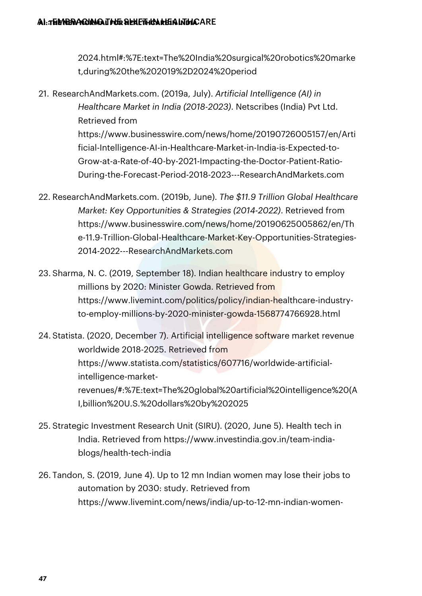2024.html#:%7E:text=The%20India%20surgical%20robotics%20marke t,during%20the%202019%2D2024%20period

- 21. ResearchAndMarkets.com. (2019a, July). *Artificial Intelligence (AI) in Healthcare Market in India (2018-2023)*. Netscribes (India) Pvt Ltd. Retrieved from https://www.businesswire.com/news/home/20190726005157/en/Arti ficial-Intelligence-AI-in-Healthcare-Market-in-India-is-Expected-to-Grow-at-a-Rate-of-40-by-2021-Impacting-the-Doctor-Patient-Ratio-During-the-Forecast-Period-2018-2023---ResearchAndMarkets.com
- 22. ResearchAndMarkets.com. (2019b, June). *The \$11.9 Trillion Global Healthcare Market: Key Opportunities & Strategies (2014-2022)*. Retrieved from https://www.businesswire.com/news/home/20190625005862/en/Th e-11.9-Trillion-Global-Healthcare-Market-Key-Opportunities-Strategies-2014-2022---ResearchAndMarkets.com
- 23. Sharma, N. C. (2019, September 18). Indian healthcare industry to employ millions by 2020: Minister Gowda. Retrieved from https://www.livemint.com/politics/policy/indian-healthcare-industryto-employ-millions-by-2020-minister-gowda-1568774766928.html
- 24. Statista. (2020, December 7). Artificial intelligence software market revenue worldwide 2018-2025. Retrieved from https://www.statista.com/statistics/607716/worldwide-artificialintelligence-marketrevenues/#:%7E:text=The%20global%20artificial%20intelligence%20(A I,billion%20U.S.%20dollars%20by%202025
- 25. Strategic Investment Research Unit (SIRU). (2020, June 5). Health tech in India. Retrieved from https://www.investindia.gov.in/team-indiablogs/health-tech-india
- 26. Tandon, S. (2019, June 4). Up to 12 mn Indian women may lose their jobs to automation by 2030: study. Retrieved from https://www.livemint.com/news/india/up-to-12-mn-indian-women-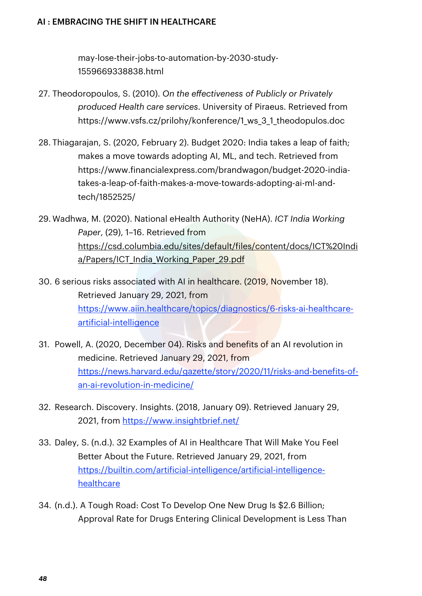may-lose-their-jobs-to-automation-by-2030-study-1559669338838.html

- 27. Theodoropoulos, S. (2010). *On the eectiveness of Publicly or Privately produced Health care services*. University of Piraeus. Retrieved from https://www.vsfs.cz/prilohy/konference/1 ws 3 1 theodopulos.doc
- 28. Thiagarajan, S. (2020, February 2). Budget 2020: India takes a leap of faith; makes a move towards adopting AI, ML, and tech. Retrieved from https://www.financialexpress.com/brandwagon/budget-2020-indiatakes-a-leap-of-faith-makes-a-move-towards-adopting-ai-ml-andtech/1852525/
- 29. Wadhwa, M. (2020). National eHealth Authority (NeHA). *ICT India Working Paper*, (29), 1–16. Retrieved from https://csd.columbia.edu/sites/default/files/content/docs/ICT%20Indi a/Papers/ICT\_India\_Working\_Paper\_29.pdf
- 30. 6 serious risks associated with AI in healthcare. (2019, November 18). Retrieved January 29, 2021, from https://www.aiin.healthcare/topics/diagnostics/6-risks-ai-healthcareartificial-intelligence
- 31. Powell, A. (2020, December 04). Risks and benefits of an AI revolution in medicine. Retrieved January 29, 2021, from https://news.harvard.edu/gazette/story/2020/11/risks-and-benefits-ofan-ai-revolution-in-medicine/
- 32. Research. Discovery. Insights. (2018, January 09). Retrieved January 29, 2021, from https://www.insightbrief.net/
- 33. Daley, S. (n.d.). 32 Examples of AI in Healthcare That Will Make You Feel Better About the Future. Retrieved January 29, 2021, from https://builtin.com/artificial-intelligence/artificial-intelligencehealthcare
- 34. (n.d.). A Tough Road: Cost To Develop One New Drug Is \$2.6 Billion; Approval Rate for Drugs Entering Clinical Development is Less Than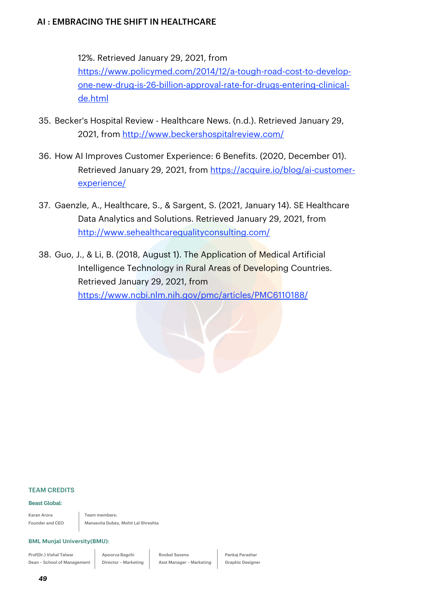12%. Retrieved January 29, 2021, from

https://www.policymed.com/2014/12/a-tough-road-cost-to-developone-new-drug-is-26-billion-approval-rate-for-drugs-entering-clinicalde.html

- 35. Becker's Hospital Review Healthcare News. (n.d.). Retrieved January 29, 2021, from http://www.beckershospitalreview.com/
- 36. How AI Improves Customer Experience: 6 Benefits. (2020, December 01). Retrieved January 29, 2021, from https://acquire.io/blog/ai-customerexperience/
- 37. Gaenzle, A., Healthcare, S., & Sargent, S. (2021, January 14). SE Healthcare Data Analytics and Solutions. Retrieved January 29, 2021, from http://www.sehealthcarequalityconsulting.com/
- 38. Guo, J., & Li, B. (2018, August 1). The Application of Medical Artificial Intelligence Technology in Rural Areas of Developing Countries. Retrieved January 29, 2021, from https://www.ncbi.nlm.nih.gov/pmc/articles/PMC6110188/

#### TEAM CREDITS

#### **Beast Global:**

Karan Arora Founder and CEO Team members: Manasvita Dubey, Mohit Lal Shreshta

#### **BML Munjal University(BMU):**

Prof(Dr.) Vishal Talwar Dean – School of Management

Apoorva Bagchi Director – Marketing Roobal Saxena Asst Manager – Marketing Pankaj Parashar Graphic Designer